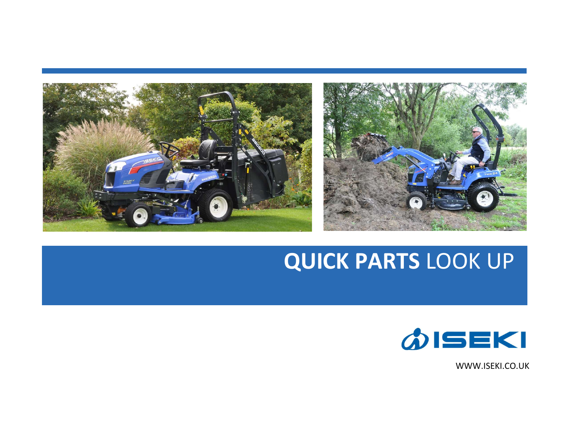



WWW.ISEKI.CO.UK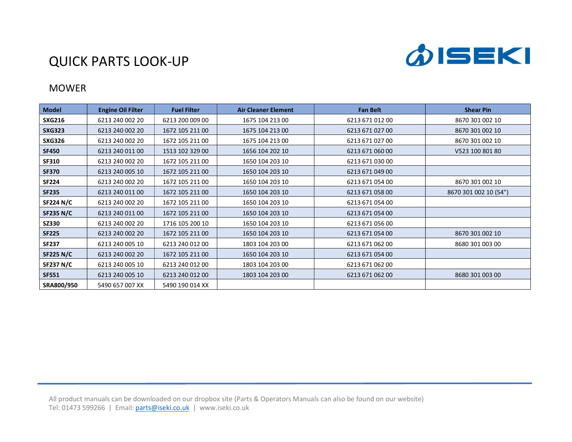

#### MOWER

| <b>Model</b>     | <b>Engine Oil Filter</b> | <b>Fuel Filter</b> | <b>Air Cleaner Element</b> | <b>Fan Belt</b> | <b>Shear Pin</b>      |
|------------------|--------------------------|--------------------|----------------------------|-----------------|-----------------------|
| <b>SXG216</b>    | 6213 240 002 20          | 6213 200 009 00    | 1675 104 213 00            | 6213 671 012 00 | 8670 301 002 10       |
| <b>SXG323</b>    | 6213 240 002 20          | 1672 105 211 00    | 1675 104 213 00            | 6213 671 027 00 | 8670 301 002 10       |
| <b>SXG326</b>    | 6213 240 002 20          | 1672 105 211 00    | 1675 104 213 00            | 6213 671 027 00 | 8670 301 002 10       |
| <b>SF450</b>     | 6213 240 011 00          | 1513 102 329 00    | 1656 104 202 10            | 6213 671 060 00 | V523 100 801 80       |
| <b>SF310</b>     | 6213 240 002 20          | 1672 105 211 00    | 1650 104 203 10            | 6213 671 030 00 |                       |
| <b>SF370</b>     | 6213 240 005 10          | 1672 105 211 00    | 1650 104 203 10            | 6213 671 049 00 |                       |
| <b>SF224</b>     | 6213 240 002 20          | 1672 105 211 00    | 1650 104 203 10            | 6213 671 054 00 | 8670 301 002 10       |
| <b>SF235</b>     | 6213 240 011 00          | 1672 105 211 00    | 1650 104 203 10            | 6213 671 058 00 | 8670 301 002 10 (54") |
| <b>SF224 N/C</b> | 6213 240 002 20          | 1672 105 211 00    | 1650 104 203 10            | 6213 671 054 00 |                       |
| <b>SF235 N/C</b> | 6213 240 011 00          | 1672 105 211 00    | 1650 104 203 10            | 6213 671 054 00 |                       |
| <b>SZ330</b>     | 6213 240 002 20          | 1716 105 200 10    | 1650 104 203 10            | 6213 671 056 00 |                       |
| <b>SF225</b>     | 6213 240 002 20          | 1672 105 211 00    | 1650 104 203 10            | 6213 671 054 00 | 8670 301 002 10       |
| <b>SF237</b>     | 6213 240 005 10          | 6213 240 012 00    | 1803 104 203 00            | 6213 671 062 00 | 8680 301 003 00       |
| <b>SF225 N/C</b> | 6213 240 002 20          | 1672 105 211 00    | 1650 104 203 10            | 6213 671 054 00 |                       |
| <b>SF237 N/C</b> | 6213 240 005 10          | 6213 240 012 00    | 1803 104 203 00            | 6213 671 062 00 |                       |
| <b>SF551</b>     | 6213 240 005 10          | 6213 240 012 00    | 1803 104 203 00            | 6213 671 062 00 | 8680 301 003 00       |
| SRA800/950       | 5490 657 007 XX          | 5490 190 014 XX    |                            |                 |                       |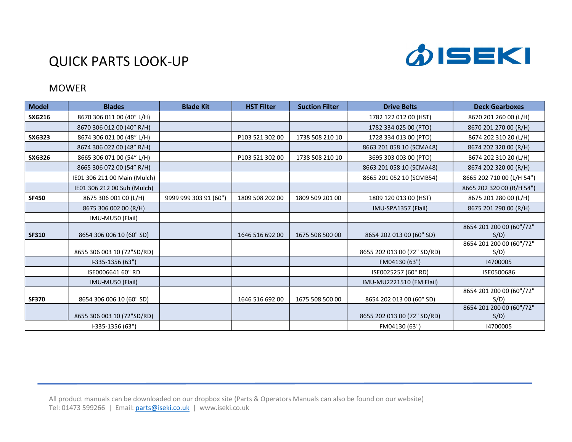## *ISEKI*

## QUICK PARTS LOOK-UP

#### MOWER

| <b>Model</b>  | <b>Blades</b>                | <b>Blade Kit</b>      | <b>HST Filter</b> | <b>Suction Filter</b> | <b>Drive Belts</b>          | <b>Deck Gearboxes</b>           |
|---------------|------------------------------|-----------------------|-------------------|-----------------------|-----------------------------|---------------------------------|
| <b>SXG216</b> | 8670 306 011 00 (40" L/H)    |                       |                   |                       | 1782 122 012 00 (HST)       | 8670 201 260 00 (L/H)           |
|               | 8670 306 012 00 (40" R/H)    |                       |                   |                       | 1782 334 025 00 (PTO)       | 8670 201 270 00 (R/H)           |
| <b>SXG323</b> | 8674 306 021 00 (48" L/H)    |                       | P103 521 302 00   | 1738 508 210 10       | 1728 334 013 00 (PTO)       | 8674 202 310 20 (L/H)           |
|               | 8674 306 022 00 (48" R/H)    |                       |                   |                       | 8663 201 058 10 (SCMA48)    | 8674 202 320 00 (R/H)           |
| <b>SXG326</b> | 8665 306 071 00 (54" L/H)    |                       | P103 521 302 00   | 1738 508 210 10       | 3695 303 003 00 (PTO)       | 8674 202 310 20 (L/H)           |
|               | 8665 306 072 00 (54" R/H)    |                       |                   |                       | 8663 201 058 10 (SCMA48)    | 8674 202 320 00 (R/H)           |
|               | IE01 306 211 00 Main (Mulch) |                       |                   |                       | 8665 201 052 10 (SCMB54)    | 8665 202 710 00 (L/H 54")       |
|               | IE01 306 212 00 Sub (Mulch)  |                       |                   |                       |                             | 8665 202 320 00 (R/H 54")       |
| <b>SF450</b>  | 8675 306 001 00 (L/H)        | 9999 999 303 91 (60") | 1809 508 202 00   | 1809 509 201 00       | 1809 120 013 00 (HST)       | 8675 201 280 00 (L/H)           |
|               | 8675 306 002 00 (R/H)        |                       |                   |                       | IMU-SPA1357 (Flail)         | 8675 201 290 00 (R/H)           |
|               | IMU-MU50 (Flail)             |                       |                   |                       |                             |                                 |
| <b>SF310</b>  | 8654 306 006 10 (60" SD)     |                       | 1646 516 692 00   | 1675 508 500 00       | 8654 202 013 00 (60" SD)    | 8654 201 200 00 (60"/72"<br>S/D |
|               | 8655 306 003 10 (72"SD/RD)   |                       |                   |                       | 8655 202 013 00 (72" SD/RD) | 8654 201 200 00 (60"/72"<br>S/D |
|               | I-335-1356 (63")             |                       |                   |                       | FM04130 (63")               | 14700005                        |
|               | ISE0006641 60" RD            |                       |                   |                       | ISE0025257 (60" RD)         | ISE0500686                      |
|               | IMU-MU50 (Flail)             |                       |                   |                       | IMU-MU2221510 (FM Flail)    |                                 |
| <b>SF370</b>  | 8654 306 006 10 (60" SD)     |                       | 1646 516 692 00   | 1675 508 500 00       | 8654 202 013 00 (60" SD)    | 8654 201 200 00 (60"/72"<br>S/D |
|               | 8655 306 003 10 (72"SD/RD)   |                       |                   |                       | 8655 202 013 00 (72" SD/RD) | 8654 201 200 00 (60"/72"<br>S/D |
|               | I-335-1356 (63")             |                       |                   |                       | FM04130 (63")               | 14700005                        |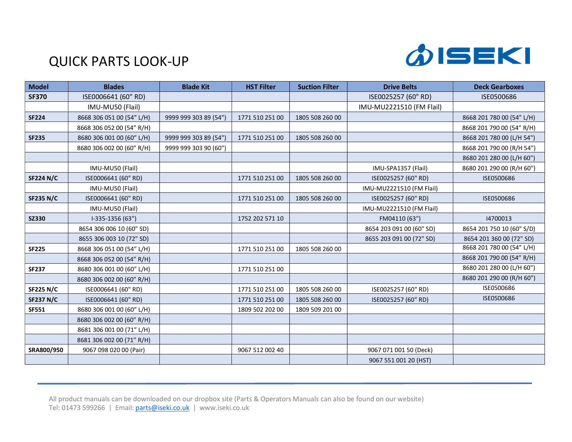

| <b>Model</b>     | <b>Blades</b>             | <b>Blade Kit</b>      | <b>HST Filter</b> | <b>Suction Filter</b> | <b>Drive Belts</b>       | <b>Deck Gearboxes</b>     |
|------------------|---------------------------|-----------------------|-------------------|-----------------------|--------------------------|---------------------------|
| <b>SF370</b>     | ISE0006641 (60" RD)       |                       |                   |                       | ISE0025257 (60" RD)      | ISE0500686                |
|                  | IMU-MU50 (Flail)          |                       |                   |                       | IMU-MU2221510 (FM Flail) |                           |
| <b>SF224</b>     | 8668 306 051 00 (54" L/H) | 9999 999 303 89 (54") | 1771 510 251 00   | 1805 508 260 00       |                          | 8668 201 780 00 (54" L/H) |
|                  | 8668 306 052 00 (54" R/H) |                       |                   |                       |                          | 8668 201 790 00 (54" R/H) |
| <b>SF235</b>     | 8680 306 001 00 (60" L/H) | 9999 999 303 89 (54") | 1771 510 251 00   | 1805 508 260 00       |                          | 8668 201 780 00 (L/H 54") |
|                  | 8680 306 002 00 (60" R/H) | 9999 999 303 90 (60") |                   |                       |                          | 8668 201 790 00 (R/H 54") |
|                  |                           |                       |                   |                       |                          | 8680 201 280 00 (L/H 60") |
|                  | IMU-MU50 (Flail)          |                       |                   |                       | IMU-SPA1357 (Flail)      | 8680 201 290 00 (R/H 60") |
| <b>SF224 N/C</b> | ISE0006641 (60" RD)       |                       | 1771 510 251 00   | 1805 508 260 00       | ISE0025257 (60" RD)      | ISE0500686                |
|                  | IMU-MU50 (Flail)          |                       |                   |                       | IMU-MU2221510 (FM Flail) |                           |
| <b>SF235 N/C</b> | ISE0006641 (60" RD)       |                       | 1771 510 251 00   | 1805 508 260 00       | ISE0025257 (60" RD)      | ISE0500686                |
|                  | IMU-MU50 (Flail)          |                       |                   |                       | IMU-MU2221510 (FM Flail) |                           |
| <b>SZ330</b>     | I-335-1356 (63")          |                       | 1752 202 571 10   |                       | FM04110 (63")            | 14700013                  |
|                  | 8654 306 006 10 (60" SD)  |                       |                   |                       | 8654 203 091 00 (60" SD) | 8654 201 750 10 (60" S/D) |
|                  | 8655 306 003 10 (72" SD)  |                       |                   |                       | 8655 203 091 00 (72" SD) | 8654 201 360 00 (72" SD)  |
| <b>SF225</b>     | 8668 306 051 00 (54" L/H) |                       | 1771 510 251 00   | 1805 508 260 00       |                          | 8668 201 780 00 (54" L/H) |
|                  | 8668 306 052 00 (54" R/H) |                       |                   |                       |                          | 8668 201 790 00 (54" R/H) |
| <b>SF237</b>     | 8680 306 001 00 (60" L/H) |                       | 1771 510 251 00   |                       |                          | 8680 201 280 00 (L/H 60") |
|                  | 8680 306 002 00 (60" R/H) |                       |                   |                       |                          | 8680 201 290 00 (R/H 60") |
| <b>SF225 N/C</b> | ISE0006641 (60" RD)       |                       | 1771 510 251 00   | 1805 508 260 00       | ISE0025257 (60" RD)      | ISE0500686                |
| <b>SF237 N/C</b> | ISE0006641 (60" RD)       |                       | 1771 510 251 00   | 1805 508 260 00       | ISE0025257 (60" RD)      | ISE0500686                |
| <b>SF551</b>     | 8680 306 001 00 (60" L/H) |                       | 1809 502 202 00   | 1809 509 201 00       |                          |                           |
|                  | 8680 306 002 00 (60" R/H) |                       |                   |                       |                          |                           |
|                  | 8681 306 001 00 (71" L/H) |                       |                   |                       |                          |                           |
|                  | 8681 306 002 00 (71" R/H) |                       |                   |                       |                          |                           |
| SRA800/950       | 9067 098 020 00 (Pair)    |                       | 9067 512 002 40   |                       | 9067 071 001 50 (Deck)   |                           |
|                  |                           |                       |                   |                       | 9067 551 001 20 (HST)    |                           |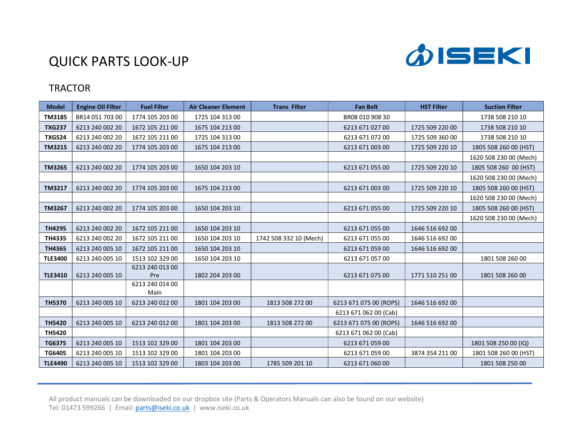

#### **TRACTOR**

| <b>Model</b>   | <b>Engine Oil Filter</b> | <b>Fuel Filter</b>      | <b>Air Cleaner Element</b> | <b>Trans Filter</b>    | <b>Fan Belt</b>        | <b>HST Filter</b> | <b>Suction Filter</b>  |
|----------------|--------------------------|-------------------------|----------------------------|------------------------|------------------------|-------------------|------------------------|
| TM3185         | BR14 051 703 00          | 1774 105 203 00         | 1725 104 313 00            |                        | BR08 010 908 30        |                   | 1738 508 210 10        |
| <b>TXG237</b>  | 6213 240 002 20          | 1672 105 211 00         | 1675 104 213 00            |                        | 6213 671 027 00        | 1725 509 220 00   | 1738 508 210 10        |
| TXGS24         | 6213 240 002 20          | 1672 105 211 00         | 1725 104 313 00            |                        | 6213 671 072 00        | 1725 509 360 00   | 1738 508 210 10        |
| <b>TM3215</b>  | 6213 240 002 20          | 1774 105 203 00         | 1675 104 213 00            |                        | 6213 671 003 00        | 1725 509 220 10   | 1805 508 260 00 (HST)  |
|                |                          |                         |                            |                        |                        |                   | 1620 508 230 00 (Mech) |
| <b>TM3265</b>  | 6213 240 002 20          | 1774 105 203 00         | 1650 104 203 10            |                        | 6213 671 055 00        | 1725 509 220 10   | 1805 508 260 00 (HST)  |
|                |                          |                         |                            |                        |                        |                   | 1620 508 230 00 (Mech) |
| <b>TM3217</b>  | 6213 240 002 20          | 1774 105 203 00         | 1675 104 213 00            |                        | 6213 671 003 00        | 1725 509 220 10   | 1805 508 260 00 (HST)  |
|                |                          |                         |                            |                        |                        |                   | 1620 508 230 00 (Mech) |
| <b>TM3267</b>  | 6213 240 002 20          | 1774 105 203 00         | 1650 104 203 10            |                        | 6213 671 055 00        | 1725 509 220 10   | 1805 508 260 00 (HST)  |
|                |                          |                         |                            |                        |                        |                   | 1620 508 230 00 (Mech) |
| <b>TH4295</b>  | 6213 240 002 20          | 1672 105 211 00         | 1650 104 203 10            |                        | 6213 671 055 00        | 1646 516 692 00   |                        |
| <b>TH4335</b>  | 6213 240 002 20          | 1672 105 211 00         | 1650 104 203 10            | 1742 508 332 10 (Mech) | 6213 671 055 00        | 1646 516 692 00   |                        |
| <b>TH4365</b>  | 6213 240 005 10          | 1672 105 211 00         | 1650 104 203 10            |                        | 6213 671 059 00        | 1646 516 692 00   |                        |
| <b>TLE3400</b> | 6213 240 005 10          | 1513 102 329 00         | 1650 104 203 10            |                        | 6213 671 057 00        |                   | 1801 508 260 00        |
| <b>TLE3410</b> | 6213 240 005 10          | 6213 240 013 00<br>Pre  | 1802 204 203 00            |                        | 6213 671 075 00        | 1771 510 251 00   | 1801 508 260 00        |
|                |                          | 6213 240 014 00<br>Main |                            |                        |                        |                   |                        |
| <b>TH5370</b>  | 6213 240 005 10          | 6213 240 012 00         | 1801 104 203 00            | 1813 508 272 00        | 6213 671 075 00 (ROPS) | 1646 516 692 00   |                        |
|                |                          |                         |                            |                        | 6213 671 062 00 (Cab)  |                   |                        |
| <b>TH5420</b>  | 6213 240 005 10          | 6213 240 012 00         | 1801 104 203 00            | 1813 508 272 00        | 6213 671 075 00 (ROPS) | 1646 516 692 00   |                        |
| <b>TH5420</b>  |                          |                         |                            |                        | 6213 671 062 00 (Cab)  |                   |                        |
| <b>TG6375</b>  | 6213 240 005 10          | 1513 102 329 00         | 1801 104 203 00            |                        | 6213 671 059 00        |                   | 1801 508 250 00 (IQ)   |
| <b>TG6405</b>  | 6213 240 005 10          | 1513 102 329 00         | 1801 104 203 00            |                        | 6213 671 059 00        | 3874 354 211 00   | 1801 508 260 00 (HST)  |
| <b>TLE4490</b> | 6213 240 005 10          | 1513 102 329 00         | 1803 104 203 00            | 1785 509 201 10        | 6213 671 060 00        |                   | 1801 508 250 00        |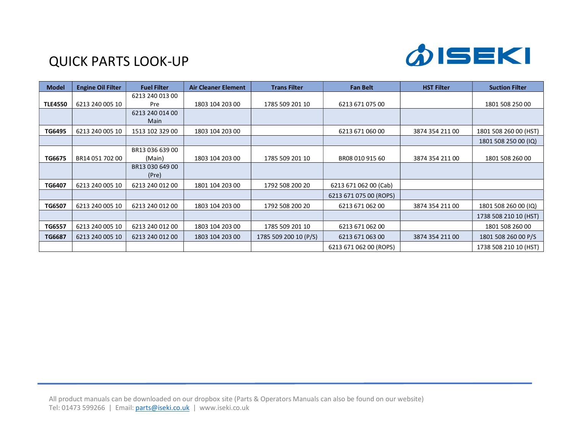

| <b>Model</b>   | <b>Engine Oil Filter</b> | <b>Fuel Filter</b>       | <b>Air Cleaner Element</b> | <b>Trans Filter</b>   | <b>Fan Belt</b>        | <b>HST Filter</b> | <b>Suction Filter</b> |
|----------------|--------------------------|--------------------------|----------------------------|-----------------------|------------------------|-------------------|-----------------------|
|                |                          | 6213 240 013 00          |                            |                       |                        |                   |                       |
| <b>TLE4550</b> | 6213 240 005 10          | Pre                      | 1803 104 203 00            | 1785 509 201 10       | 6213 671 075 00        |                   | 1801 508 250 00       |
|                |                          | 6213 240 014 00<br>Main  |                            |                       |                        |                   |                       |
| TG6495         | 6213 240 005 10          | 1513 102 329 00          | 1803 104 203 00            |                       | 6213 671 060 00        | 3874 354 211 00   | 1801 508 260 00 (HST) |
|                |                          |                          |                            |                       |                        |                   | 1801 508 250 00 (IQ)  |
|                |                          | BR13 036 639 00          |                            |                       |                        |                   |                       |
| TG6675         | BR14 051 702 00          | (Main)                   | 1803 104 203 00            | 1785 509 201 10       | BR08 010 915 60        | 3874 354 211 00   | 1801 508 260 00       |
|                |                          | BR13 030 649 00<br>(Pre) |                            |                       |                        |                   |                       |
| <b>TG6407</b>  | 6213 240 005 10          | 6213 240 012 00          | 1801 104 203 00            | 1792 508 200 20       | 6213 671 062 00 (Cab)  |                   |                       |
|                |                          |                          |                            |                       | 6213 671 075 00 (ROPS) |                   |                       |
| <b>TG6507</b>  | 6213 240 005 10          | 6213 240 012 00          | 1803 104 203 00            | 1792 508 200 20       | 6213 671 062 00        | 3874 354 211 00   | 1801 508 260 00 (IQ)  |
|                |                          |                          |                            |                       |                        |                   | 1738 508 210 10 (HST) |
| <b>TG6557</b>  | 6213 240 005 10          | 6213 240 012 00          | 1803 104 203 00            | 1785 509 201 10       | 6213 671 062 00        |                   | 1801 508 260 00       |
| <b>TG6687</b>  | 6213 240 005 10          | 6213 240 012 00          | 1803 104 203 00            | 1785 509 200 10 (P/S) | 6213 671 063 00        | 3874 354 211 00   | 1801 508 260 00 P/S   |
|                |                          |                          |                            |                       | 6213 671 062 00 (ROPS) |                   | 1738 508 210 10 (HST) |